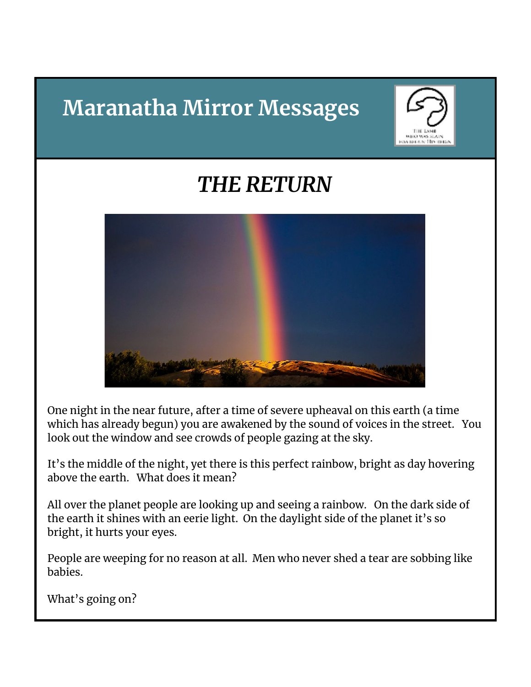## **Maranatha Mirror Messages**



## *THE RETURN*



One night in the near future, after a time of severe upheaval on this earth (a time which has already begun) you are awakened by the sound of voices in the street. You look out the window and see crowds of people gazing at the sky.

It's the middle of the night, yet there is this perfect rainbow, bright as day hovering above the earth. What does it mean?

All over the planet people are looking up and seeing a rainbow. On the dark side of the earth it shines with an eerie light. On the daylight side of the planet it's so bright, it hurts your eyes.

People are weeping for no reason at all. Men who never shed a tear are sobbing like babies.

What's going on?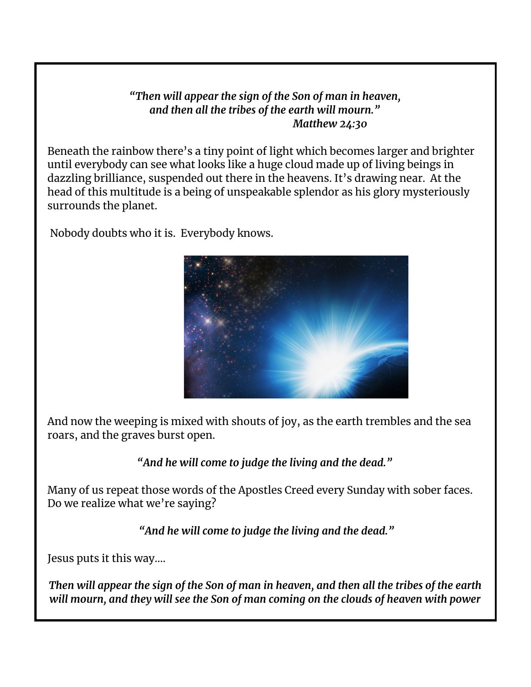*"Then will appear the sign of the Son of man in heaven, and then all the tribes of the earth will mourn." Matthew 24:30*

Beneath the rainbow there's a tiny point of light which becomes larger and brighter until everybody can see what looks like a huge cloud made up of living beings in dazzling brilliance, suspended out there in the heavens. It's drawing near. At the head of this multitude is a being of unspeakable splendor as his glory mysteriously surrounds the planet.

Nobody doubts who it is. Everybody knows.



And now the weeping is mixed with shouts of joy, as the earth trembles and the sea roars, and the graves burst open.

*"And he will come to judge the living and the dead."*

Many of us repeat those words of the Apostles Creed every Sunday with sober faces. Do we realize what we're saying?

*"And he will come to judge the living and the dead."*

Jesus puts it this way….

Then will appear the sign of the Son of man in heaven, and then all the tribes of the earth *will mourn, and they will see the Son of man coming on the clouds of heaven with power*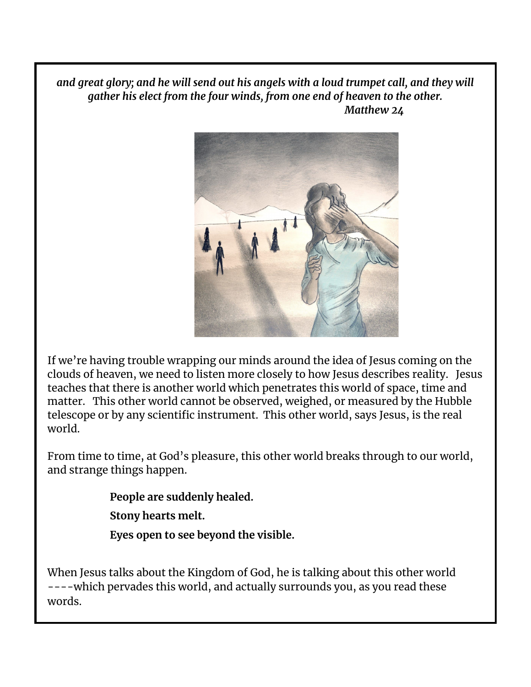*and great glory; and he will send out his angels with a loud trumpet call, and they will gather his elect from the four winds, from one end of heaven to the other. Matthew 24*



If we're having trouble wrapping our minds around the idea of Jesus coming on the clouds of heaven, we need to listen more closely to how Jesus describes reality. Jesus teaches that there is another world which penetrates this world of space, time and matter. This other world cannot be observed, weighed, or measured by the Hubble telescope or by any scientific instrument. This other world, says Jesus, is the real world.

From time to time, at God's pleasure, this other world breaks through to our world, and strange things happen.

**People are suddenly healed.**

**Stony hearts melt.**

**Eyes open to see beyond the visible.**

When Jesus talks about the Kingdom of God, he is talking about this other world ----which pervades this world, and actually surrounds you, as you read these words.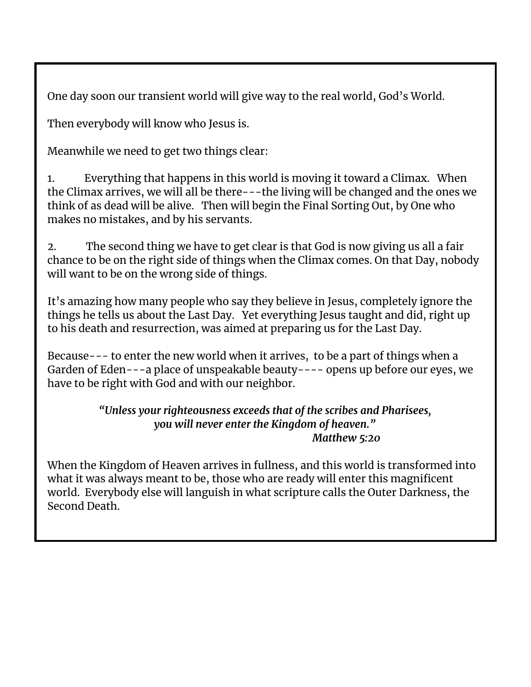One day soon our transient world will give way to the real world, God's World.

Then everybody will know who Jesus is.

Meanwhile we need to get two things clear:

1. Everything that happens in this world is moving it toward a Climax. When the Climax arrives, we will all be there---the living will be changed and the ones we think of as dead will be alive. Then will begin the Final Sorting Out, by One who makes no mistakes, and by his servants.

2. The second thing we have to get clear is that God is now giving us all a fair chance to be on the right side of things when the Climax comes. On that Day, nobody will want to be on the wrong side of things.

It's amazing how many people who say they believe in Jesus, completely ignore the things he tells us about the Last Day. Yet everything Jesus taught and did, right up to his death and resurrection, was aimed at preparing us for the Last Day.

Because--- to enter the new world when it arrives, to be a part of things when a Garden of Eden---a place of unspeakable beauty---- opens up before our eyes, we have to be right with God and with our neighbor.

> *"Unless your righteousness exceeds that of the scribes and Pharisees, you will never enter the Kingdom of heaven." Matthew 5:20*

When the Kingdom of Heaven arrives in fullness, and this world is transformed into what it was always meant to be, those who are ready will enter this magnificent world. Everybody else will languish in what scripture calls the Outer Darkness, the Second Death.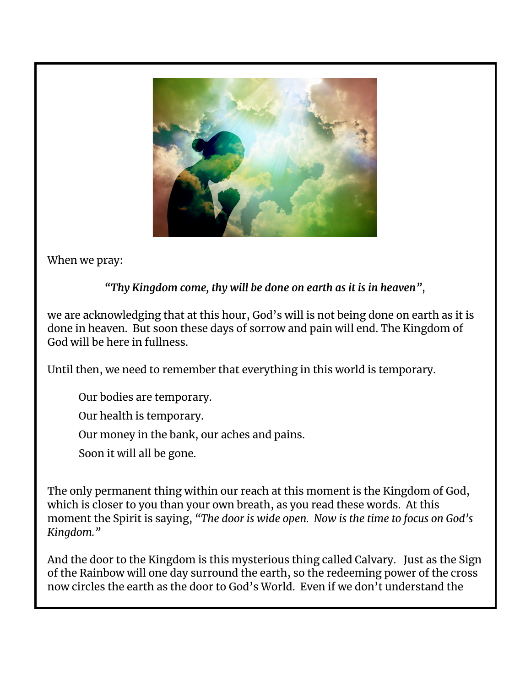

When we pray:

## *"Thy Kingdom come, thy will be done on earth as it is in heaven"*,

we are acknowledging that at this hour, God's will is not being done on earth as it is done in heaven. But soon these days of sorrow and pain will end. The Kingdom of God will be here in fullness.

Until then, we need to remember that everything in this world is temporary.

Our bodies are temporary.

Our health is temporary.

Our money in the bank, our aches and pains.

Soon it will all be gone.

The only permanent thing within our reach at this moment is the Kingdom of God, which is closer to you than your own breath, as you read these words. At this moment the Spirit is saying, *"The door is wide open. Now is the time to focus on God's Kingdom."*

And the door to the Kingdom is this mysterious thing called Calvary. Just as the Sign of the Rainbow will one day surround the earth, so the redeeming power of the cross now circles the earth as the door to God's World. Even if we don't understand the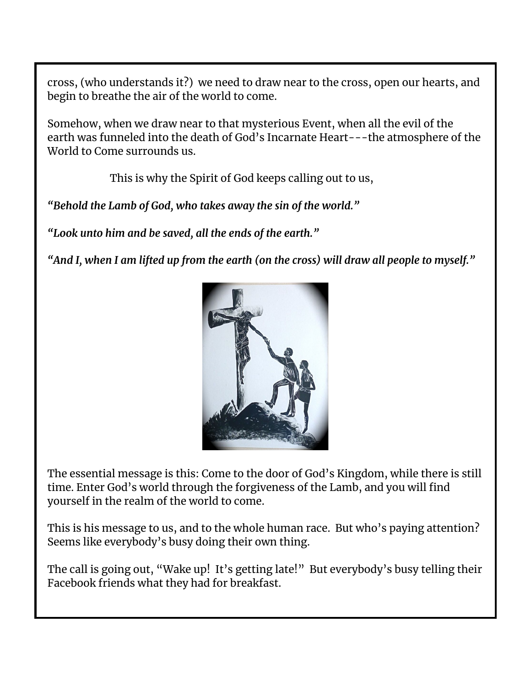cross, (who understands it?) we need to draw near to the cross, open our hearts, and begin to breathe the air of the world to come.

Somehow, when we draw near to that mysterious Event, when all the evil of the earth was funneled into the death of God's Incarnate Heart---the atmosphere of the World to Come surrounds us.

This is why the Spirit of God keeps calling out to us,

*"Behold the Lamb of God, who takes away the sin of the world."*

*"Look unto him and be saved, all the ends of the earth."*

*"And I, when I am lifted up from the earth (on the cross) will draw all people to myself."*



The essential message is this: Come to the door of God's Kingdom, while there is still time. Enter God's world through the forgiveness of the Lamb, and you will find yourself in the realm of the world to come.

This is his message to us, and to the whole human race. But who's paying attention? Seems like everybody's busy doing their own thing.

The call is going out, "Wake up! It's getting late!" But everybody's busy telling their Facebook friends what they had for breakfast.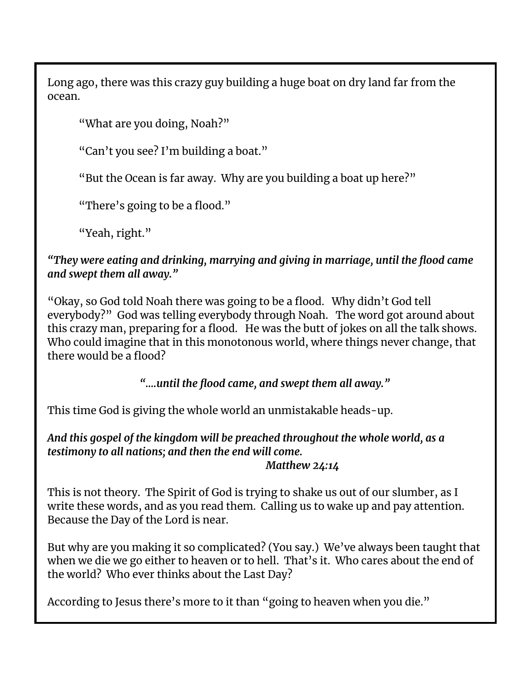Long ago, there was this crazy guy building a huge boat on dry land far from the ocean.

"What are you doing, Noah?"

"Can't you see? I'm building a boat."

"But the Ocean is far away. Why are you building a boat up here?"

"There's going to be a flood."

"Yeah, right."

*"They were eating and drinking, marrying and giving in marriage, until the flood came and swept them all away."*

"Okay, so God told Noah there was going to be a flood. Why didn't God tell everybody?" God was telling everybody through Noah. The word got around about this crazy man, preparing for a flood. He was the butt of jokes on all the talk shows. Who could imagine that in this monotonous world, where things never change, that there would be a flood?

*"….until the flood came, and swept them all away."*

This time God is giving the whole world an unmistakable heads-up.

*And this gospel of the kingdom will be preached throughout the whole world, as a testimony to all nations; and then the end will come.*

*Matthew 24:14*

This is not theory. The Spirit of God is trying to shake us out of our slumber, as I write these words, and as you read them. Calling us to wake up and pay attention. Because the Day of the Lord is near.

But why are you making it so complicated? (You say.) We've always been taught that when we die we go either to heaven or to hell. That's it. Who cares about the end of the world? Who ever thinks about the Last Day?

According to Jesus there's more to it than "going to heaven when you die."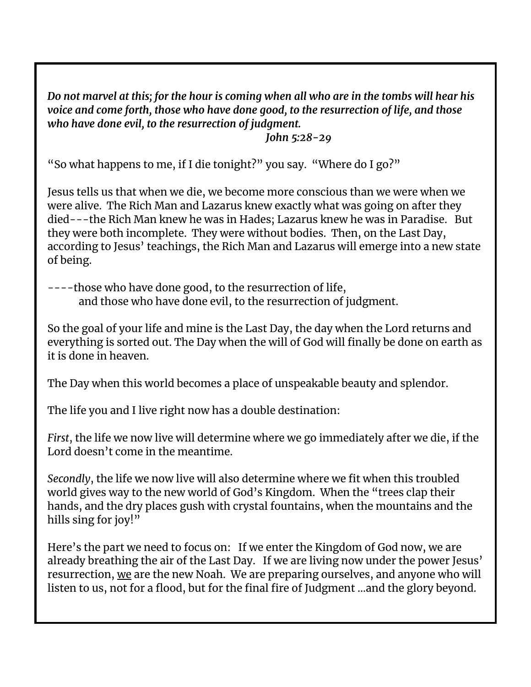Do not marvel at this; for the hour is coming when all who are in the tombs will hear his *voice and come forth, those who have done good, to the resurrection of life, and those who have done evil, to the resurrection of judgment.*

*John 5:28-29*

"So what happens to me, if I die tonight?" you say. "Where do I go?"

Jesus tells us that when we die, we become more conscious than we were when we were alive. The Rich Man and Lazarus knew exactly what was going on after they died---the Rich Man knew he was in Hades; Lazarus knew he was in Paradise. But they were both incomplete. They were without bodies. Then, on the Last Day, according to Jesus' teachings, the Rich Man and Lazarus will emerge into a new state of being.

----those who have done good, to the resurrection of life, and those who have done evil, to the resurrection of judgment.

So the goal of your life and mine is the Last Day, the day when the Lord returns and everything is sorted out. The Day when the will of God will finally be done on earth as it is done in heaven.

The Day when this world becomes a place of unspeakable beauty and splendor.

The life you and I live right now has a double destination:

*First*, the life we now live will determine where we go immediately after we die, if the Lord doesn't come in the meantime.

*Secondly*, the life we now live will also determine where we fit when this troubled world gives way to the new world of God's Kingdom. When the "trees clap their hands, and the dry places gush with crystal fountains, when the mountains and the hills sing for joy!"

Here's the part we need to focus on: If we enter the Kingdom of God now, we are already breathing the air of the Last Day. If we are living now under the power Jesus' resurrection, we are the new Noah. We are preparing ourselves, and anyone who will listen to us, not for a flood, but for the final fire of Judgment ...and the glory beyond.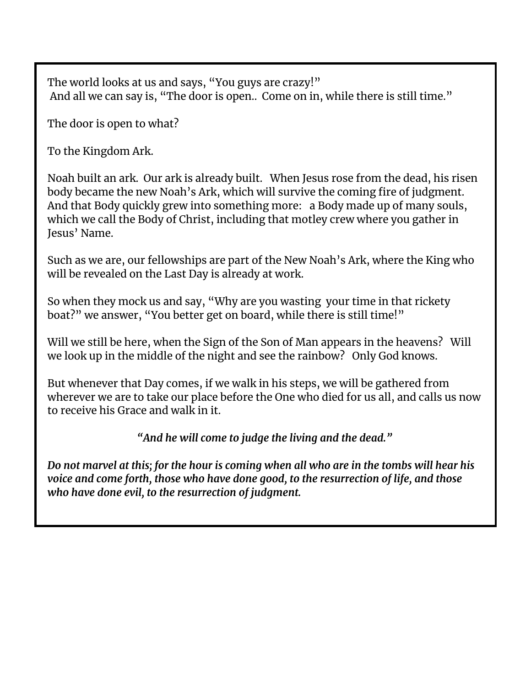The world looks at us and says, "You guys are crazy!" And all we can say is, "The door is open.. Come on in, while there is still time."

The door is open to what?

To the Kingdom Ark.

Noah built an ark. Our ark is already built. When Jesus rose from the dead, his risen body became the new Noah's Ark, which will survive the coming fire of judgment. And that Body quickly grew into something more: a Body made up of many souls, which we call the Body of Christ, including that motley crew where you gather in Jesus' Name.

Such as we are, our fellowships are part of the New Noah's Ark, where the King who will be revealed on the Last Day is already at work.

So when they mock us and say, "Why are you wasting your time in that rickety boat?" we answer, "You better get on board, while there is still time!"

Will we still be here, when the Sign of the Son of Man appears in the heavens? Will we look up in the middle of the night and see the rainbow? Only God knows.

But whenever that Day comes, if we walk in his steps, we will be gathered from wherever we are to take our place before the One who died for us all, and calls us now to receive his Grace and walk in it.

*"And he will come to judge the living and the dead."*

Do not marvel at this; for the hour is coming when all who are in the tombs will hear his *voice and come forth, those who have done good, to the resurrection of life, and those who have done evil, to the resurrection of judgment.*